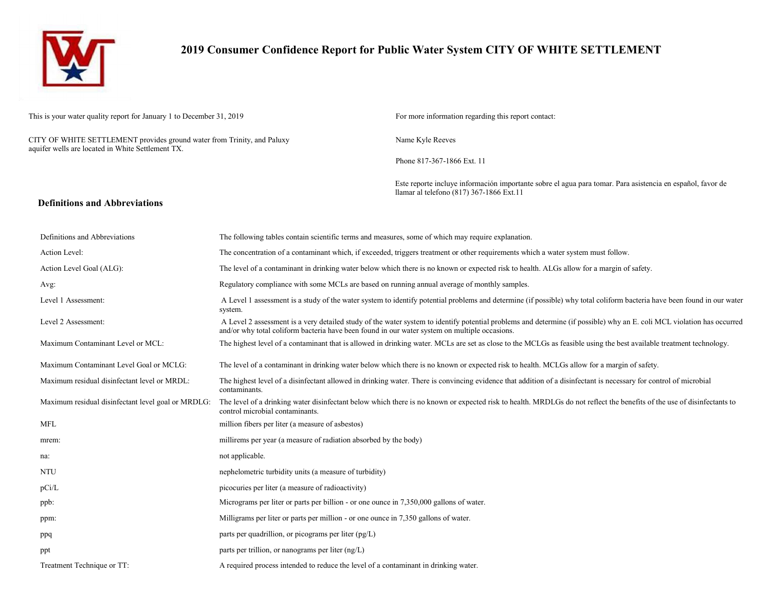

## 2019 Consumer Confidence Report for Public Water System CITY OF WHITE SETTLEMENT

This is your water quality report for January 1 to December 31, 2019 For more information regarding this report contact:

CITY OF WHITE SETTLEMENT provides ground water from Trinity, and Paluxy aquifer wells are located in White Settlement TX.

Name Kyle Reeves

Phone 817-367-1866 Ext. 11

Este reporte incluye información importante sobre el agua para tomar. Para asistencia en español, favor de llamar al telefono (817) 367-1866 Ext.11

#### Definitions and Abbreviations

| Definitions and Abbreviations                      | The following tables contain scientific terms and measures, some of which may require explanation.                                                                                                                                                                      |
|----------------------------------------------------|-------------------------------------------------------------------------------------------------------------------------------------------------------------------------------------------------------------------------------------------------------------------------|
| Action Level:                                      | The concentration of a contaminant which, if exceeded, triggers treatment or other requirements which a water system must follow.                                                                                                                                       |
| Action Level Goal (ALG):                           | The level of a contaminant in drinking water below which there is no known or expected risk to health. ALGs allow for a margin of safety.                                                                                                                               |
| Avg:                                               | Regulatory compliance with some MCLs are based on running annual average of monthly samples.                                                                                                                                                                            |
| Level 1 Assessment:                                | A Level 1 assessment is a study of the water system to identify potential problems and determine (if possible) why total coliform bacteria have been found in our water<br>system.                                                                                      |
| Level 2 Assessment:                                | A Level 2 assessment is a very detailed study of the water system to identify potential problems and determine (if possible) why an E. coli MCL violation has occurred<br>and/or why total coliform bacteria have been found in our water system on multiple occasions. |
| Maximum Contaminant Level or MCL:                  | The highest level of a contaminant that is allowed in drinking water. MCLs are set as close to the MCLGs as feasible using the best available treatment technology.                                                                                                     |
| Maximum Contaminant Level Goal or MCLG:            | The level of a contaminant in drinking water below which there is no known or expected risk to health. MCLGs allow for a margin of safety.                                                                                                                              |
| Maximum residual disinfectant level or MRDL:       | The highest level of a disinfectant allowed in drinking water. There is convincing evidence that addition of a disinfectant is necessary for control of microbial<br>contaminants.                                                                                      |
| Maximum residual disinfectant level goal or MRDLG: | The level of a drinking water disinfectant below which there is no known or expected risk to health. MRDLGs do not reflect the benefits of the use of disinfectants to<br>control microbial contaminants.                                                               |
| <b>MFL</b>                                         | million fibers per liter (a measure of asbestos)                                                                                                                                                                                                                        |
| mrem:                                              | millirems per year (a measure of radiation absorbed by the body)                                                                                                                                                                                                        |
| na:                                                | not applicable.                                                                                                                                                                                                                                                         |
| <b>NTU</b>                                         | nephelometric turbidity units (a measure of turbidity)                                                                                                                                                                                                                  |
| pCi/L                                              | picocuries per liter (a measure of radioactivity)                                                                                                                                                                                                                       |
| ppb:                                               | Micrograms per liter or parts per billion - or one ounce in 7,350,000 gallons of water.                                                                                                                                                                                 |
| ppm:                                               | Milligrams per liter or parts per million - or one ounce in 7,350 gallons of water.                                                                                                                                                                                     |
| ppq                                                | parts per quadrillion, or picograms per liter $(pg/L)$                                                                                                                                                                                                                  |
| ppt                                                | parts per trillion, or nanograms per liter $(ng/L)$                                                                                                                                                                                                                     |
| Treatment Technique or TT:                         | A required process intended to reduce the level of a contaminant in drinking water.                                                                                                                                                                                     |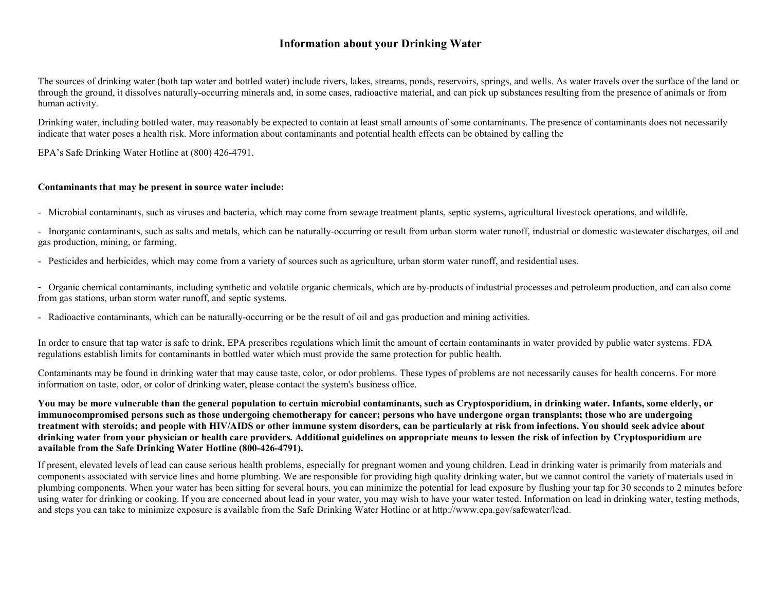## Information about your Drinking Water

The sources of drinking water (both tap water and bottled water) include rivers, lakes, streams, ponds, reservoirs, springs, and wells. As water travels over the surface of the land or through the ground, it dissolves naturally-occurring minerals and, in some cases, radioactive material, and can pick up substances resulting from the presence of animals or from human activity.

Drinking water, including bottled water, may reasonably be expected to contain at least small amounts of some contaminants. The presence of contaminants does not necessarily indicate that water poses a health risk. More information about contaminants and potential health effects can be obtained by calling the

EPA's Safe Drinking Water Hotline at (800) 426-4791.

#### Contaminants that may be present in source water include:

- Microbial contaminants, such as viruses and bacteria, which may come from sewage treatment plants, septic systems, agricultural livestock operations, and wildlife.

- Inorganic contaminants, such as salts and metals, which can be naturally-occurring or result from urban storm water runoff, industrial or domestic wastewater discharges, oil and gas production, mining, or farming.

- Pesticides and herbicides, which may come from a variety of sources such as agriculture, urban storm water runoff, and residential uses.

- Organic chemical contaminants, including synthetic and volatile organic chemicals, which are by-products of industrial processes and petroleum production, and can also come from gas stations, urban storm water runoff, and septic systems.

- Radioactive contaminants, which can be naturally-occurring or be the result of oil and gas production and mining activities.

In order to ensure that tap water is safe to drink, EPA prescribes regulations which limit the amount of certain contaminants in water provided by public water systems. FDA regulations establish limits for contaminants in bottled water which must provide the same protection for public health.

Contaminants may be found in drinking water that may cause taste, color, or odor problems. These types of problems are not necessarily causes for health concerns. For more information on taste, odor, or color of drinking water, please contact the system's business office.

You may be more vulnerable than the general population to certain microbial contaminants, such as Cryptosporidium, in drinking water. Infants, some elderly, or immunocompromised persons such as those undergoing chemotherapy for cancer; persons who have undergone organ transplants; those who are undergoing treatment with steroids; and people with HIV/AIDS or other immune system disorders, can be particularly at risk from infections. You should seek advice about drinking water from your physician or health care providers. Additional guidelines on appropriate means to lessen the risk of infection by Cryptosporidium are available from the Safe Drinking Water Hotline (800-426-4791).

If present, elevated levels of lead can cause serious health problems, especially for pregnant women and young children. Lead in drinking water is primarily from materials and components associated with service lines and home plumbing. We are responsible for providing high quality drinking water, but we cannot control the variety of materials used in plumbing components. When your water has been sitting for several hours, you can minimize the potential for lead exposure by flushing your tap for 30 seconds to 2 minutes before using water for drinking or cooking. If you are concerned about lead in your water, you may wish to have your water tested. Information on lead in drinking water, testing methods, and steps you can take to minimize exposure is available from the Safe Drinking Water Hotline or at http://www.epa.gov/safewater/lead.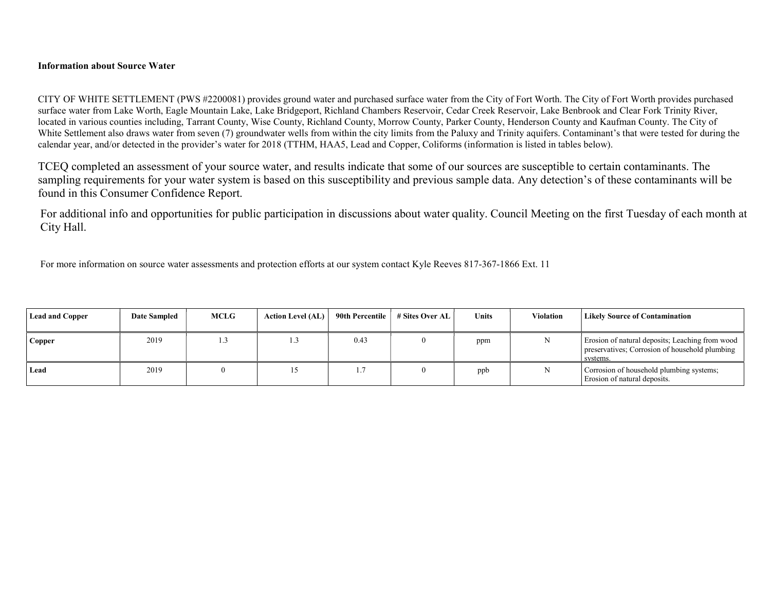#### Information about Source Water

CITY OF WHITE SETTLEMENT (PWS #2200081) provides ground water and purchased surface water from the City of Fort Worth. The City of Fort Worth provides purchased surface water from Lake Worth, Eagle Mountain Lake, Lake Bridgeport, Richland Chambers Reservoir, Cedar Creek Reservoir, Lake Benbrook and Clear Fork Trinity River, located in various counties including, Tarrant County, Wise County, Richland County, Morrow County, Parker County, Henderson County and Kaufman County. The City of White Settlement also draws water from seven (7) groundwater wells from within the city limits from the Paluxy and Trinity aquifers. Contaminant's that were tested for during the calendar year, and/or detected in the provider's water for 2018 (TTHM, HAA5, Lead and Copper, Coliforms (information is listed in tables below).

TCEQ completed an assessment of your source water, and results indicate that some of our sources are susceptible to certain contaminants. The sampling requirements for your water system is based on this susceptibility and previous sample data. Any detection's of these contaminants will be found in this Consumer Confidence Report.

For additional info and opportunities for public participation in discussions about water quality. Council Meeting on the first Tuesday of each month at City Hall.

For more information on source water assessments and protection efforts at our system contact Kyle Reeves 817-367-1866 Ext. 11

| <b>Lead and Copper</b> | Date Sampled | MCLG | <b>Action Level (AL)</b> | 90th Percentile | # Sites Over AL | <b>Units</b> | Violation | <b>Likely Source of Contamination</b>                                                                         |
|------------------------|--------------|------|--------------------------|-----------------|-----------------|--------------|-----------|---------------------------------------------------------------------------------------------------------------|
| Copper                 | 2019         | L.1  |                          | 0.43            |                 | ppm          |           | Erosion of natural deposits; Leaching from wood<br>preservatives; Corrosion of household plumbing<br>svstems. |
| Lead                   | 2019         |      |                          |                 |                 | ppb          |           | Corrosion of household plumbing systems;<br>Erosion of natural deposits.                                      |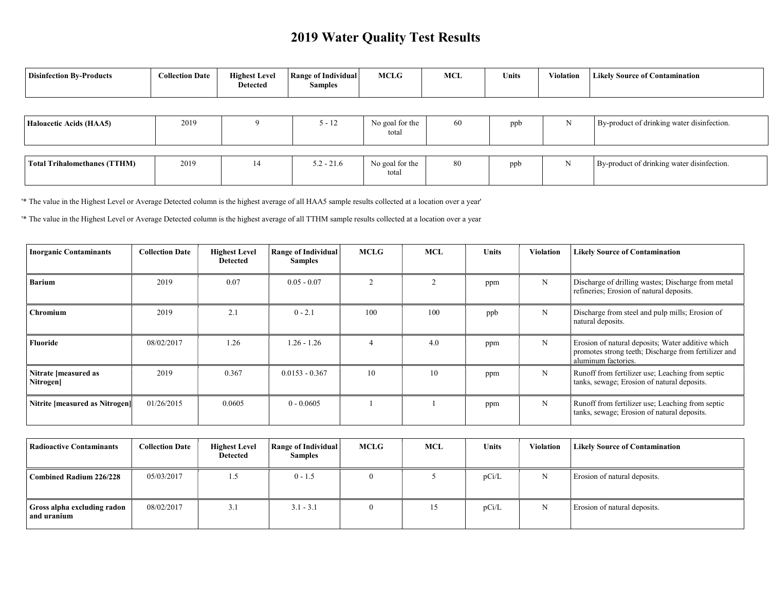# 2019 Water Quality Test Results

| <b>Disinfection By-Products</b> | <b>Collection Date</b> | <b>Highest Level</b><br><b>Detected</b> | <b>Range of Individual</b><br>Samples | <b>MCLG</b> | <b>MCL</b> | <b>Units</b> | Violation | <b>Likely Source of Contamination</b> |
|---------------------------------|------------------------|-----------------------------------------|---------------------------------------|-------------|------------|--------------|-----------|---------------------------------------|
|                                 |                        |                                         |                                       |             |            |              |           |                                       |

| Haloacetic Acids (HAA5)      | 2019 |    | $5 - 12$     | No goal for the<br>total | 60 | ppb | By-product of drinking water disinfection. |
|------------------------------|------|----|--------------|--------------------------|----|-----|--------------------------------------------|
|                              |      |    |              |                          |    |     |                                            |
| Total Trihalomethanes (TTHM) | 2019 | 14 | $5.2 - 21.6$ | No goal for the<br>total | 80 | ppb | By-product of drinking water disinfection. |

'\* The value in the Highest Level or Average Detected column is the highest average of all HAA5 sample results collected at a location over a year'

'\* The value in the Highest Level or Average Detected column is the highest average of all TTHM sample results collected at a location over a year

| <b>Inorganic Contaminants</b>           | <b>Collection Date</b> | <b>Highest Level</b><br><b>Detected</b> | <b>Range of Individual</b><br><b>Samples</b> | <b>MCLG</b> | <b>MCL</b> | <b>Units</b> | <b>Violation</b> | <b>Likely Source of Contamination</b>                                                                                            |
|-----------------------------------------|------------------------|-----------------------------------------|----------------------------------------------|-------------|------------|--------------|------------------|----------------------------------------------------------------------------------------------------------------------------------|
| <b>Barium</b>                           | 2019                   | 0.07                                    | $0.05 - 0.07$                                |             |            | ppm          | N                | Discharge of drilling wastes; Discharge from metal<br>refineries; Erosion of natural deposits.                                   |
| <b>Chromium</b>                         | 2019                   | 2.1                                     | $0 - 2.1$                                    | 100         | 100        | ppb          | N                | Discharge from steel and pulp mills; Erosion of<br>natural deposits.                                                             |
| <b>Fluoride</b>                         | 08/02/2017             | 1.26                                    | $1.26 - 1.26$                                |             | 4.0        | ppm          | N                | Erosion of natural deposits; Water additive which<br>promotes strong teeth; Discharge from fertilizer and<br>aluminum factories. |
| Nitrate [measured as<br><b>Nitrogen</b> | 2019                   | 0.367                                   | $0.0153 - 0.367$                             | 10          | 10         | ppm          | N                | Runoff from fertilizer use; Leaching from septic<br>tanks, sewage; Erosion of natural deposits.                                  |
| <b>Nitrite [measured as Nitrogen]</b>   | 01/26/2015             | 0.0605                                  | $0 - 0.0605$                                 |             |            | ppm          | N                | Runoff from fertilizer use; Leaching from septic<br>tanks, sewage; Erosion of natural deposits.                                  |

| <b>Radioactive Contaminants</b>            | <b>Collection Date</b> | <b>Highest Level</b><br>Detected | <b>Range of Individual</b><br><b>Samples</b> | MCLG | <b>MCL</b> | Units | <b>Violation</b> | <b>Likely Source of Contamination</b> |
|--------------------------------------------|------------------------|----------------------------------|----------------------------------------------|------|------------|-------|------------------|---------------------------------------|
| <b>Combined Radium 226/228</b>             | 05/03/2017             | 1.5                              | $0 - 1.5$                                    |      |            | pCi/L | N                | Erosion of natural deposits.          |
| Gross alpha excluding radon<br>and uranium | 08/02/2017             | 3.1                              | $3.1 - 3.1$                                  |      | 15         | pCi/L | N                | Erosion of natural deposits.          |